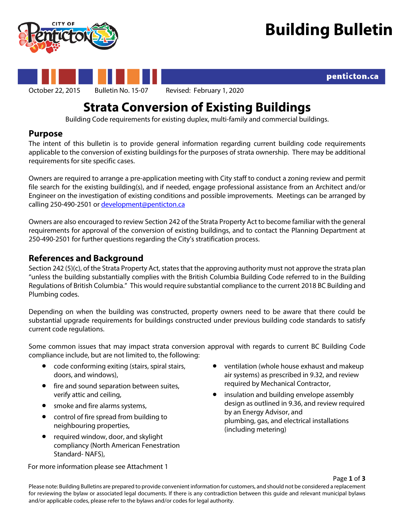

penticton.ca





October 22, 2015 Bulletin No. 15-07 Revised: February 1, 2020

# **Strata Conversion of Existing Buildings**

Building Code requirements for existing duplex, multi-family and commercial buildings.

## **Purpose**

The intent of this bulletin is to provide general information regarding current building code requirements applicable to the conversion of existing buildings for the purposes of strata ownership. There may be additional requirements for site specific cases.

Owners are required to arrange a pre-application meeting with City staff to conduct a zoning review and permit file search for the existing building(s), and if needed, engage professional assistance from an Architect and/or Engineer on the investigation of existing conditions and possible improvements. Meetings can be arranged by calling 250-490-2501 o[r development@penticton.ca](mailto:development@penticton.ca)

Owners are also encouraged to review Section 242 of the Strata Property Act to become familiar with the general requirements for approval of the conversion of existing buildings, and to contact the Planning Department at 250-490-2501 for further questions regarding the City's stratification process.

# **References and Background**

Section 242 (5)(c), of the Strata Property Act, states that the approving authority must not approve the strata plan "unless the building substantially complies with the British Columbia Building Code referred to in the Building Regulations of British Columbia." This would require substantial compliance to the current 2018 BC Building and Plumbing codes.

Depending on when the building was constructed, property owners need to be aware that there could be substantial upgrade requirements for buildings constructed under previous building code standards to satisfy current code regulations.

Some common issues that may impact strata conversion approval with regards to current BC Building Code compliance include, but are not limited to, the following:

- code conforming exiting (stairs, spiral stairs, doors, and windows),
- fire and sound separation between suites, verify attic and ceiling,
- smoke and fire alarms systems,
- control of fire spread from building to neighbouring properties,
- required window, door, and skylight compliancy (North American Fenestration Standard- NAFS),
- ventilation (whole house exhaust and makeup air systems) as prescribed in 9.32, and review required by Mechanical Contractor,
- insulation and building envelope assembly design as outlined in 9.36, and review required by an Energy Advisor, and plumbing, gas, and electrical installations (including metering)

For more information please see Attachment 1

Please note: Building Bulletins are prepared to provide convenient information for customers, and should not be considered a replacement for reviewing the bylaw or associated legal documents. If there is any contradiction between this guide and relevant municipal bylaws and/or applicable codes, please refer to the bylaws and/or codes for legal authority.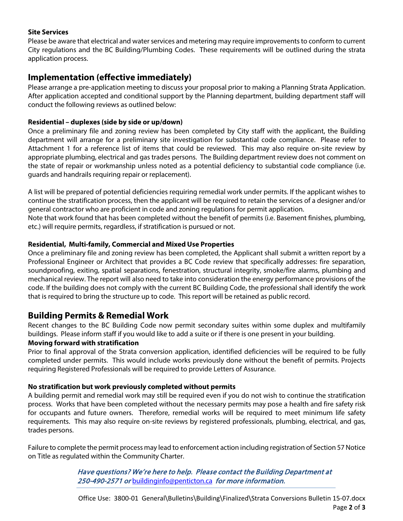#### **Site Services**

Please be aware that electrical and water services and metering may require improvements to conform to current City regulations and the BC Building/Plumbing Codes. These requirements will be outlined during the strata application process.

# **Implementation (effective immediately)**

Please arrange a pre-application meeting to discuss your proposal prior to making a Planning Strata Application. After application accepted and conditional support by the Planning department, building department staff will conduct the following reviews as outlined below:

#### **Residential – duplexes (side by side or up/down)**

Once a preliminary file and zoning review has been completed by City staff with the applicant, the Building department will arrange for a preliminary site investigation for substantial code compliance. Please refer to Attachment 1 for a reference list of items that could be reviewed. This may also require on-site review by appropriate plumbing, electrical and gas trades persons. The Building department review does not comment on the state of repair or workmanship unless noted as a potential deficiency to substantial code compliance (i.e. guards and handrails requiring repair or replacement).

A list will be prepared of potential deficiencies requiring remedial work under permits. If the applicant wishes to continue the stratification process, then the applicant will be required to retain the services of a designer and/or general contractor who are proficient in code and zoning regulations for permit application.

Note that work found that has been completed without the benefit of permits (i.e. Basement finishes, plumbing, etc.) will require permits, regardless, if stratification is pursued or not.

#### **Residential, Multi-family, Commercial and Mixed Use Properties**

Once a preliminary file and zoning review has been completed, the Applicant shall submit a written report by a Professional Engineer or Architect that provides a BC Code review that specifically addresses: fire separation, soundproofing, exiting, spatial separations, fenestration, structural integrity, smoke/fire alarms, plumbing and mechanical review. The report will also need to take into consideration the energy performance provisions of the code. If the building does not comply with the current BC Building Code, the professional shall identify the work that is required to bring the structure up to code. This report will be retained as public record.

## **Building Permits & Remedial Work**

Recent changes to the BC Building Code now permit secondary suites within some duplex and multifamily buildings. Please inform staff if you would like to add a suite or if there is one present in your building.

#### **Moving forward with stratification**

Prior to final approval of the Strata conversion application, identified deficiencies will be required to be fully completed under permits. This would include works previously done without the benefit of permits. Projects requiring Registered Professionals will be required to provide Letters of Assurance.

#### **No stratification but work previously completed without permits**

A building permit and remedial work may still be required even if you do not wish to continue the stratification process. Works that have been completed without the necessary permits may pose a health and fire safety risk for occupants and future owners. Therefore, remedial works will be required to meet minimum life safety requirements. This may also require on-site reviews by registered professionals, plumbing, electrical, and gas, trades persons.

Failure to complete the permit process may lead to enforcement action including registration of Section 57 Notice on Title as regulated within the Community Charter.

> Have questions? We're here to help. Please contact the Building Department at 250-490-2571 or [buildinginfo@penticton.ca](mailto:buildinginfo@penticton.ca) for more information.